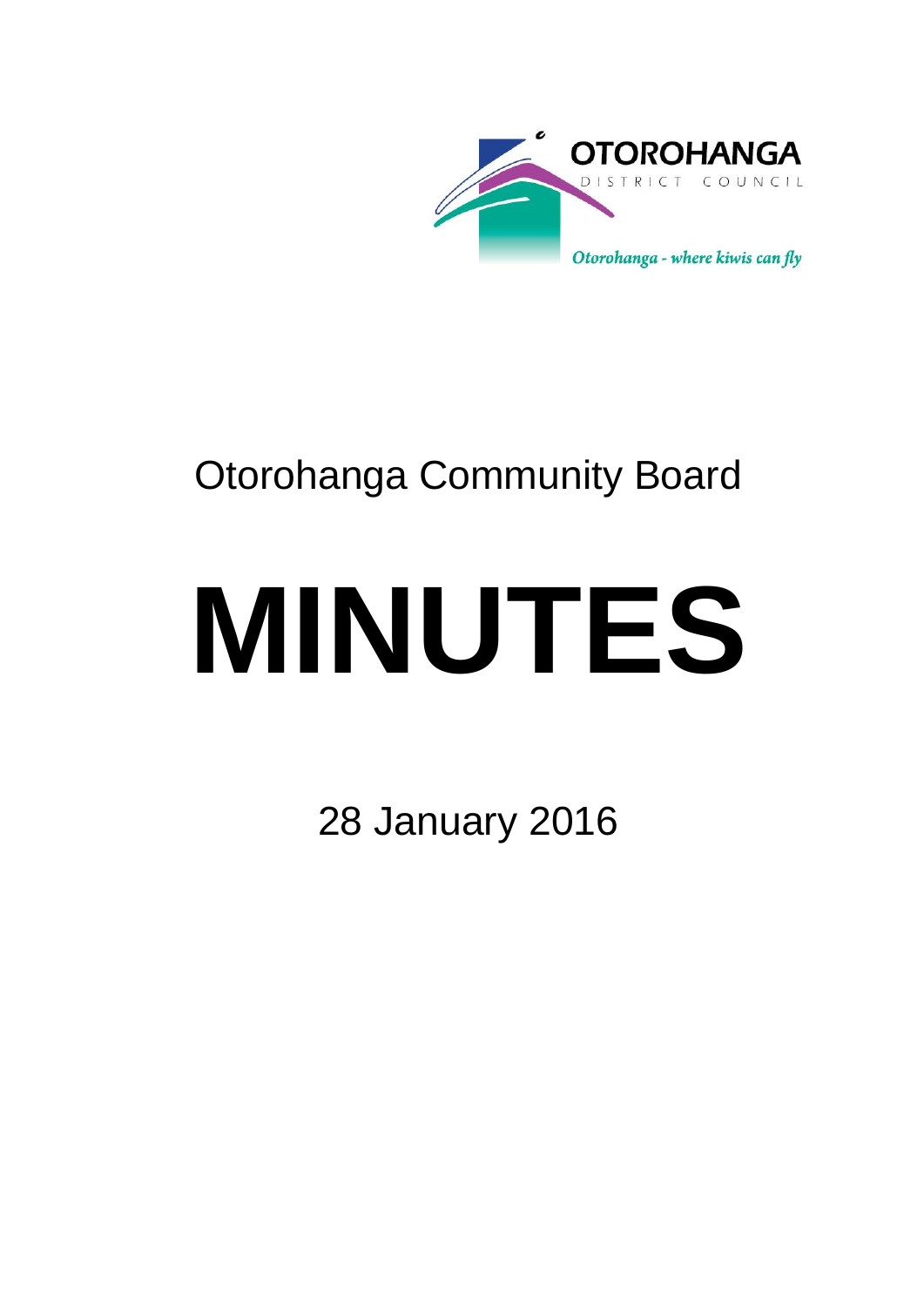

# Otorohanga Community Board

# **MINUTES**

28 January 2016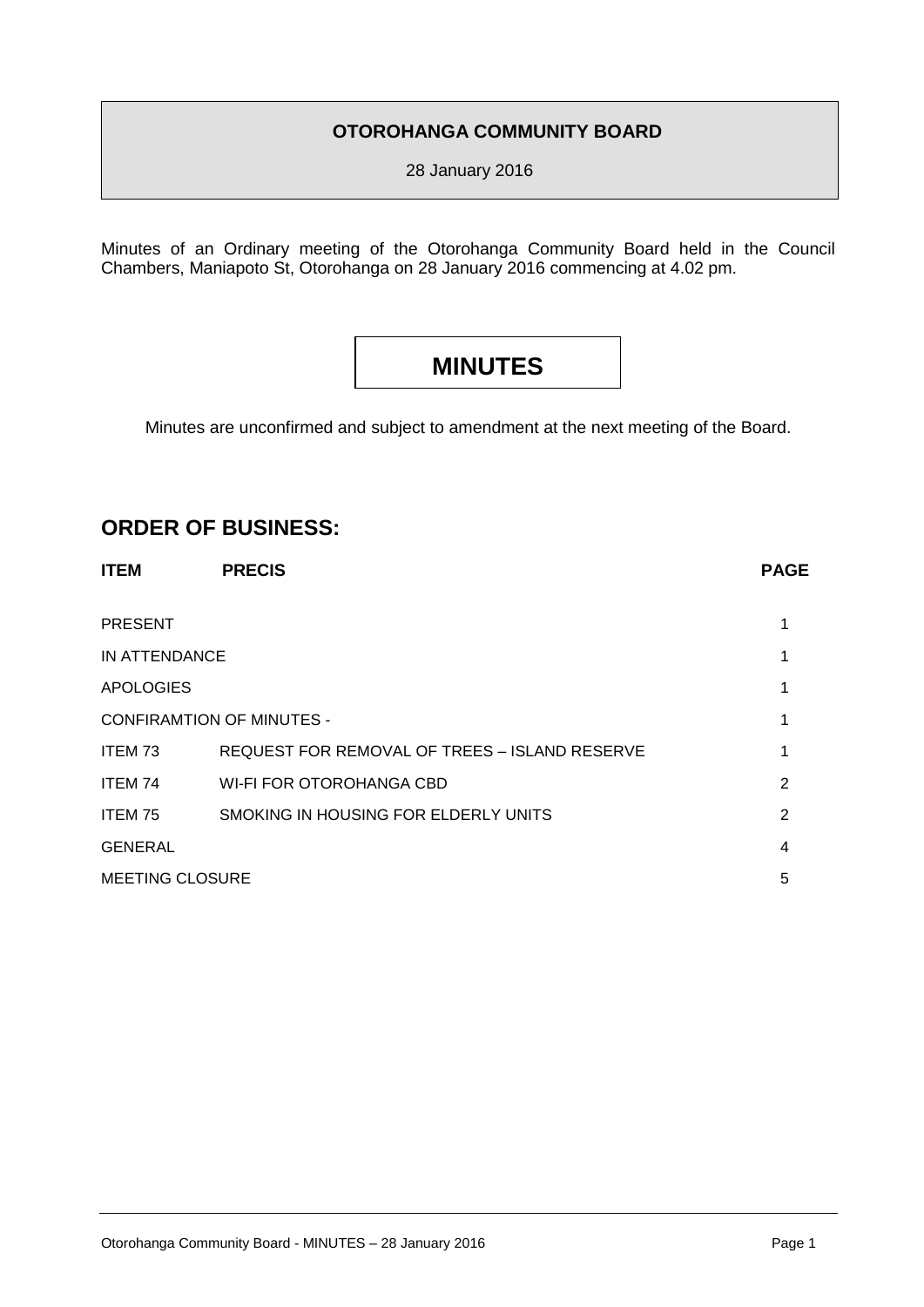# **OTOROHANGA COMMUNITY BOARD**

28 January 2016

Minutes of an Ordinary meeting of the Otorohanga Community Board held in the Council Chambers, Maniapoto St, Otorohanga on 28 January 2016 commencing at 4.02 pm.

# **MINUTES**

Minutes are unconfirmed and subject to amendment at the next meeting of the Board.

# **ORDER OF BUSINESS:**

| <b>ITEM</b>                      | <b>PRECIS</b>                                 | <b>PAGE</b> |
|----------------------------------|-----------------------------------------------|-------------|
| <b>PRESENT</b>                   |                                               |             |
| IN ATTENDANCE                    |                                               |             |
| <b>APOLOGIES</b>                 |                                               |             |
| <b>CONFIRAMTION OF MINUTES -</b> |                                               |             |
| ITEM 73                          | REQUEST FOR REMOVAL OF TREES - ISLAND RESERVE |             |
| ITEM 74                          | WI-FI FOR OTOROHANGA CBD                      | 2           |
| ITEM 75                          | SMOKING IN HOUSING FOR ELDERLY UNITS          | 2           |
| <b>GENERAL</b>                   |                                               | 4           |
| <b>MEETING CLOSURE</b>           |                                               | 5           |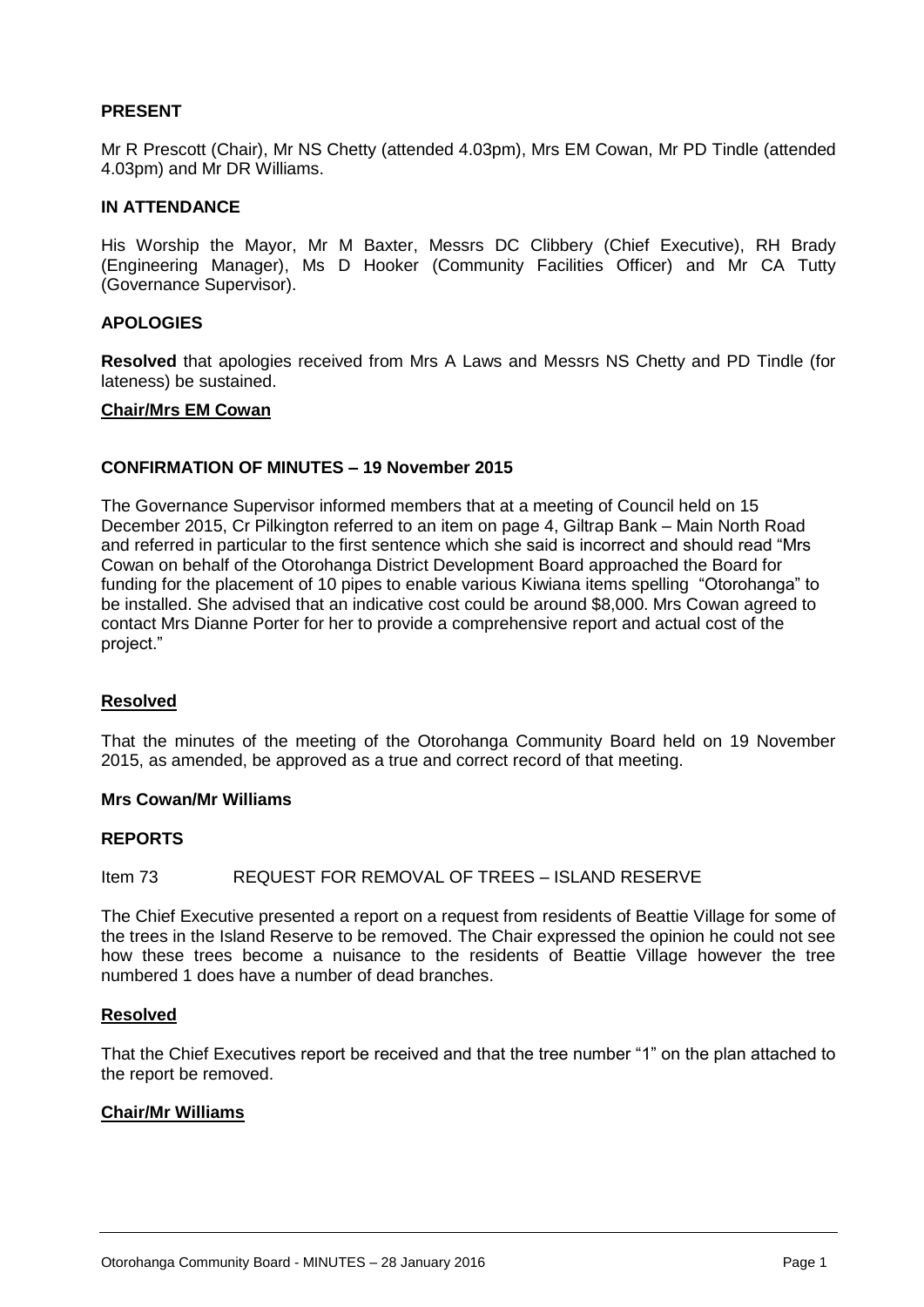# **PRESENT**

Mr R Prescott (Chair), Mr NS Chetty (attended 4.03pm), Mrs EM Cowan, Mr PD Tindle (attended 4.03pm) and Mr DR Williams.

# **IN ATTENDANCE**

His Worship the Mayor, Mr M Baxter, Messrs DC Clibbery (Chief Executive), RH Brady (Engineering Manager), Ms D Hooker (Community Facilities Officer) and Mr CA Tutty (Governance Supervisor).

# **APOLOGIES**

**Resolved** that apologies received from Mrs A Laws and Messrs NS Chetty and PD Tindle (for lateness) be sustained.

# **Chair/Mrs EM Cowan**

# **CONFIRMATION OF MINUTES – 19 November 2015**

The Governance Supervisor informed members that at a meeting of Council held on 15 December 2015, Cr Pilkington referred to an item on page 4, Giltrap Bank – Main North Road and referred in particular to the first sentence which she said is incorrect and should read "Mrs Cowan on behalf of the Otorohanga District Development Board approached the Board for funding for the placement of 10 pipes to enable various Kiwiana items spelling "Otorohanga" to be installed. She advised that an indicative cost could be around \$8,000. Mrs Cowan agreed to contact Mrs Dianne Porter for her to provide a comprehensive report and actual cost of the project."

# **Resolved**

That the minutes of the meeting of the Otorohanga Community Board held on 19 November 2015, as amended, be approved as a true and correct record of that meeting.

# **Mrs Cowan/Mr Williams**

# **REPORTS**

Item 73 REQUEST FOR REMOVAL OF TREES – ISLAND RESERVE

The Chief Executive presented a report on a request from residents of Beattie Village for some of the trees in the Island Reserve to be removed. The Chair expressed the opinion he could not see how these trees become a nuisance to the residents of Beattie Village however the tree numbered 1 does have a number of dead branches.

# **Resolved**

That the Chief Executives report be received and that the tree number "1" on the plan attached to the report be removed.

# **Chair/Mr Williams**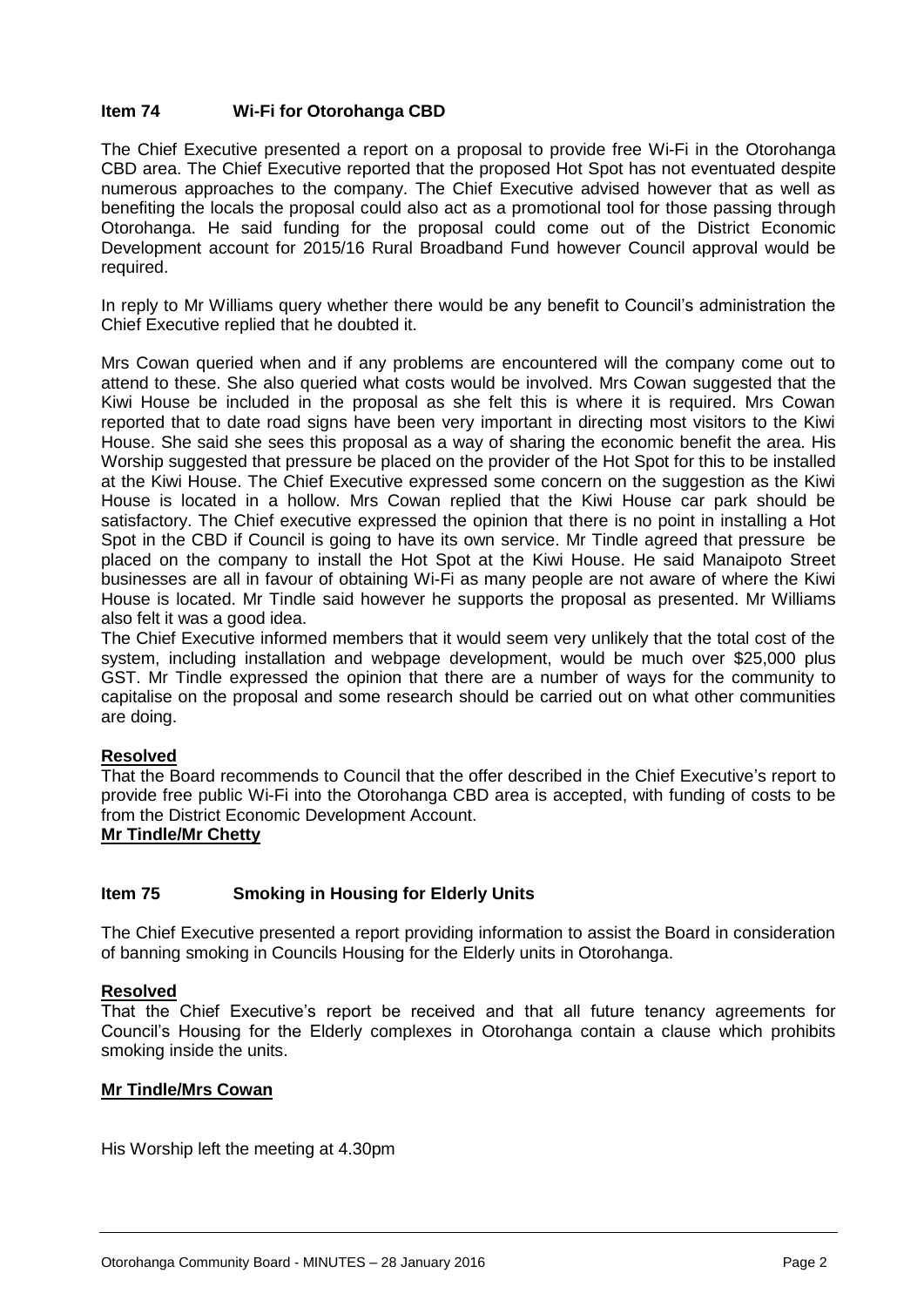# **Item 74 Wi-Fi for Otorohanga CBD**

The Chief Executive presented a report on a proposal to provide free Wi-Fi in the Otorohanga CBD area. The Chief Executive reported that the proposed Hot Spot has not eventuated despite numerous approaches to the company. The Chief Executive advised however that as well as benefiting the locals the proposal could also act as a promotional tool for those passing through Otorohanga. He said funding for the proposal could come out of the District Economic Development account for 2015/16 Rural Broadband Fund however Council approval would be required.

In reply to Mr Williams query whether there would be any benefit to Council's administration the Chief Executive replied that he doubted it.

Mrs Cowan queried when and if any problems are encountered will the company come out to attend to these. She also queried what costs would be involved. Mrs Cowan suggested that the Kiwi House be included in the proposal as she felt this is where it is required. Mrs Cowan reported that to date road signs have been very important in directing most visitors to the Kiwi House. She said she sees this proposal as a way of sharing the economic benefit the area. His Worship suggested that pressure be placed on the provider of the Hot Spot for this to be installed at the Kiwi House. The Chief Executive expressed some concern on the suggestion as the Kiwi House is located in a hollow. Mrs Cowan replied that the Kiwi House car park should be satisfactory. The Chief executive expressed the opinion that there is no point in installing a Hot Spot in the CBD if Council is going to have its own service. Mr Tindle agreed that pressure be placed on the company to install the Hot Spot at the Kiwi House. He said Manaipoto Street businesses are all in favour of obtaining Wi-Fi as many people are not aware of where the Kiwi House is located. Mr Tindle said however he supports the proposal as presented. Mr Williams also felt it was a good idea.

The Chief Executive informed members that it would seem very unlikely that the total cost of the system, including installation and webpage development, would be much over \$25,000 plus GST. Mr Tindle expressed the opinion that there are a number of ways for the community to capitalise on the proposal and some research should be carried out on what other communities are doing.

# **Resolved**

That the Board recommends to Council that the offer described in the Chief Executive's report to provide free public Wi-Fi into the Otorohanga CBD area is accepted, with funding of costs to be from the District Economic Development Account.

# **Mr Tindle/Mr Chetty**

# **Item 75 Smoking in Housing for Elderly Units**

The Chief Executive presented a report providing information to assist the Board in consideration of banning smoking in Councils Housing for the Elderly units in Otorohanga.

# **Resolved**

That the Chief Executive's report be received and that all future tenancy agreements for Council's Housing for the Elderly complexes in Otorohanga contain a clause which prohibits smoking inside the units.

# **Mr Tindle/Mrs Cowan**

His Worship left the meeting at 4.30pm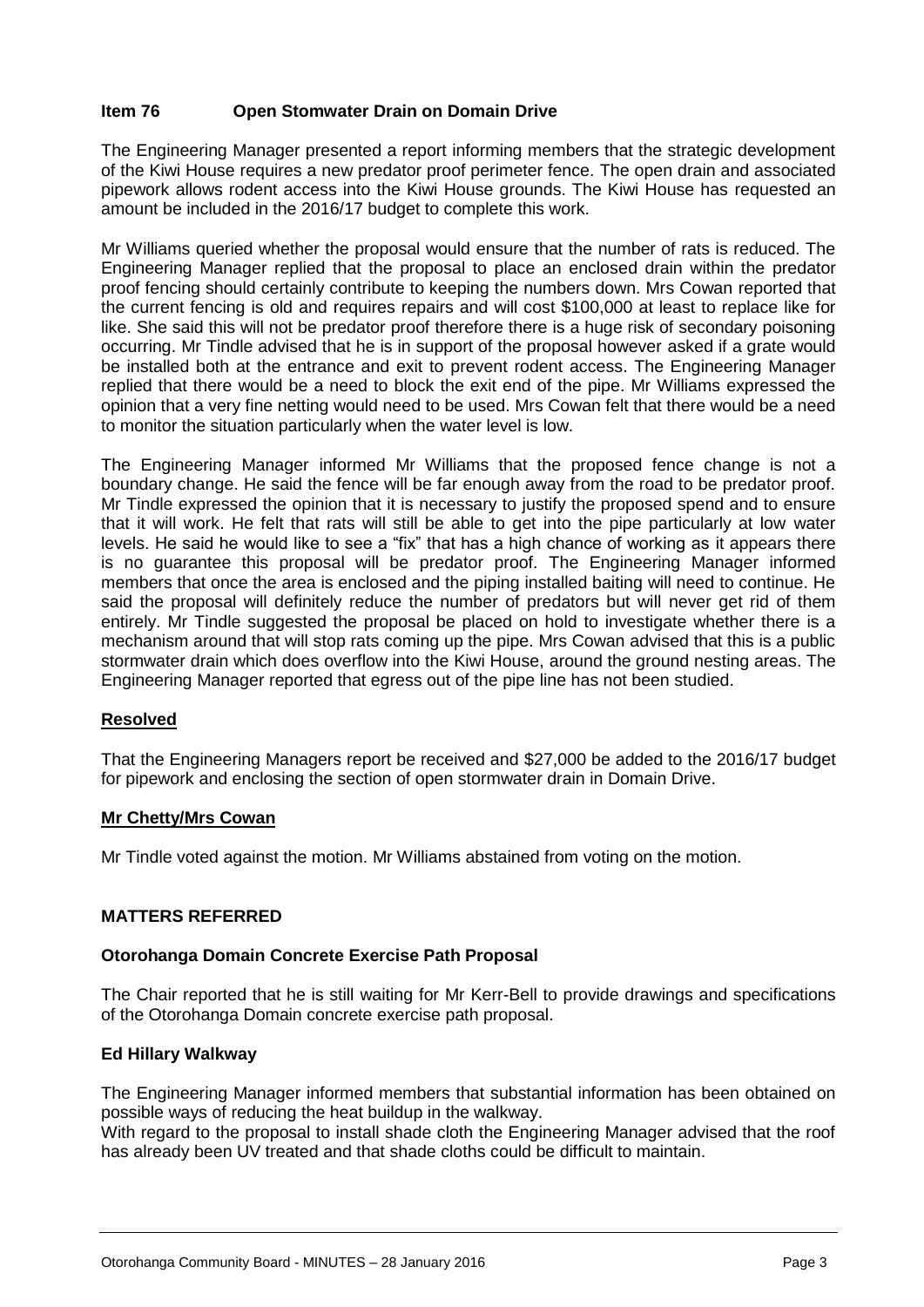# **Item 76 Open Stomwater Drain on Domain Drive**

The Engineering Manager presented a report informing members that the strategic development of the Kiwi House requires a new predator proof perimeter fence. The open drain and associated pipework allows rodent access into the Kiwi House grounds. The Kiwi House has requested an amount be included in the 2016/17 budget to complete this work.

Mr Williams queried whether the proposal would ensure that the number of rats is reduced. The Engineering Manager replied that the proposal to place an enclosed drain within the predator proof fencing should certainly contribute to keeping the numbers down. Mrs Cowan reported that the current fencing is old and requires repairs and will cost \$100,000 at least to replace like for like. She said this will not be predator proof therefore there is a huge risk of secondary poisoning occurring. Mr Tindle advised that he is in support of the proposal however asked if a grate would be installed both at the entrance and exit to prevent rodent access. The Engineering Manager replied that there would be a need to block the exit end of the pipe. Mr Williams expressed the opinion that a very fine netting would need to be used. Mrs Cowan felt that there would be a need to monitor the situation particularly when the water level is low.

The Engineering Manager informed Mr Williams that the proposed fence change is not a boundary change. He said the fence will be far enough away from the road to be predator proof. Mr Tindle expressed the opinion that it is necessary to justify the proposed spend and to ensure that it will work. He felt that rats will still be able to get into the pipe particularly at low water levels. He said he would like to see a "fix" that has a high chance of working as it appears there is no guarantee this proposal will be predator proof. The Engineering Manager informed members that once the area is enclosed and the piping installed baiting will need to continue. He said the proposal will definitely reduce the number of predators but will never get rid of them entirely. Mr Tindle suggested the proposal be placed on hold to investigate whether there is a mechanism around that will stop rats coming up the pipe. Mrs Cowan advised that this is a public stormwater drain which does overflow into the Kiwi House, around the ground nesting areas. The Engineering Manager reported that egress out of the pipe line has not been studied.

# **Resolved**

That the Engineering Managers report be received and \$27,000 be added to the 2016/17 budget for pipework and enclosing the section of open stormwater drain in Domain Drive.

# **Mr Chetty/Mrs Cowan**

Mr Tindle voted against the motion. Mr Williams abstained from voting on the motion.

# **MATTERS REFERRED**

# **Otorohanga Domain Concrete Exercise Path Proposal**

The Chair reported that he is still waiting for Mr Kerr-Bell to provide drawings and specifications of the Otorohanga Domain concrete exercise path proposal.

# **Ed Hillary Walkway**

The Engineering Manager informed members that substantial information has been obtained on possible ways of reducing the heat buildup in the walkway.

With regard to the proposal to install shade cloth the Engineering Manager advised that the roof has already been UV treated and that shade cloths could be difficult to maintain.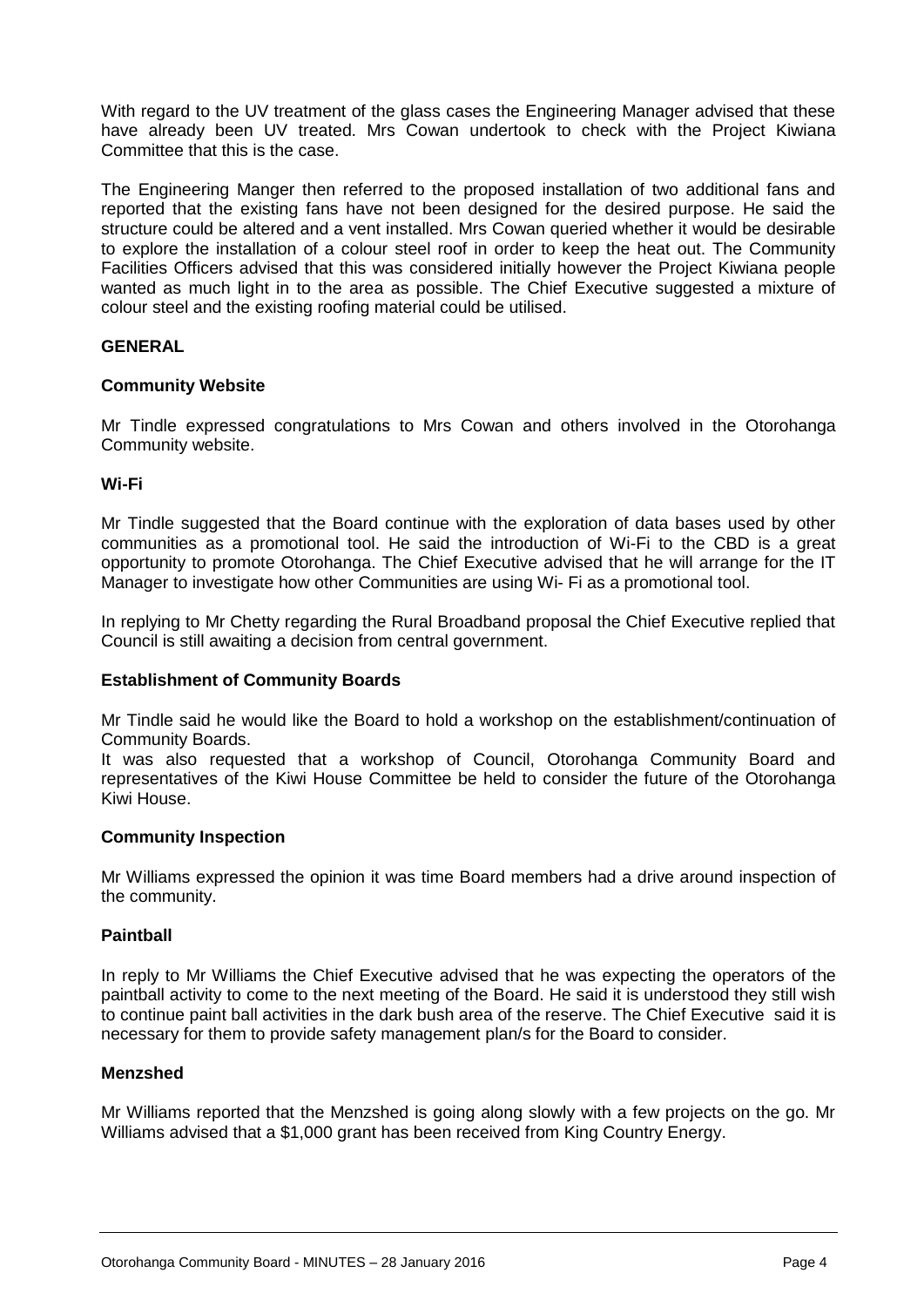With regard to the UV treatment of the glass cases the Engineering Manager advised that these have already been UV treated. Mrs Cowan undertook to check with the Project Kiwiana Committee that this is the case.

The Engineering Manger then referred to the proposed installation of two additional fans and reported that the existing fans have not been designed for the desired purpose. He said the structure could be altered and a vent installed. Mrs Cowan queried whether it would be desirable to explore the installation of a colour steel roof in order to keep the heat out. The Community Facilities Officers advised that this was considered initially however the Project Kiwiana people wanted as much light in to the area as possible. The Chief Executive suggested a mixture of colour steel and the existing roofing material could be utilised.

# **GENERAL**

# **Community Website**

Mr Tindle expressed congratulations to Mrs Cowan and others involved in the Otorohanga Community website.

# **Wi-Fi**

Mr Tindle suggested that the Board continue with the exploration of data bases used by other communities as a promotional tool. He said the introduction of Wi-Fi to the CBD is a great opportunity to promote Otorohanga. The Chief Executive advised that he will arrange for the IT Manager to investigate how other Communities are using Wi- Fi as a promotional tool.

In replying to Mr Chetty regarding the Rural Broadband proposal the Chief Executive replied that Council is still awaiting a decision from central government.

# **Establishment of Community Boards**

Mr Tindle said he would like the Board to hold a workshop on the establishment/continuation of Community Boards.

It was also requested that a workshop of Council, Otorohanga Community Board and representatives of the Kiwi House Committee be held to consider the future of the Otorohanga Kiwi House.

# **Community Inspection**

Mr Williams expressed the opinion it was time Board members had a drive around inspection of the community.

# **Paintball**

In reply to Mr Williams the Chief Executive advised that he was expecting the operators of the paintball activity to come to the next meeting of the Board. He said it is understood they still wish to continue paint ball activities in the dark bush area of the reserve. The Chief Executive said it is necessary for them to provide safety management plan/s for the Board to consider.

# **Menzshed**

Mr Williams reported that the Menzshed is going along slowly with a few projects on the go. Mr Williams advised that a \$1,000 grant has been received from King Country Energy.